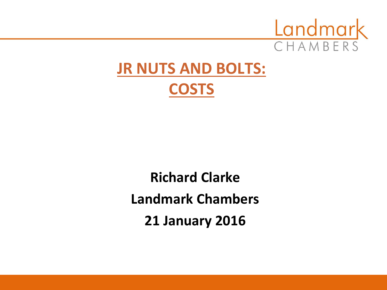

# **JR NUTS AND BOLTS: COSTS**

**Richard Clarke Landmark Chambers 21 January 2016**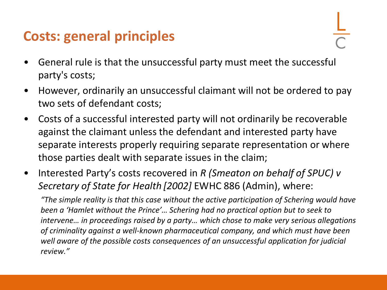#### **Costs: general principles**

- 
- General rule is that the unsuccessful party must meet the successful party's costs;
- However, ordinarily an unsuccessful claimant will not be ordered to pay two sets of defendant costs;
- Costs of a successful interested party will not ordinarily be recoverable against the claimant unless the defendant and interested party have separate interests properly requiring separate representation or where those parties dealt with separate issues in the claim;
- Interested Party's costs recovered in *R (Smeaton on behalf of SPUC) v Secretary of State for Health [2002]* EWHC 886 (Admin), where:

*"The simple reality is that this case without the active participation of Schering would have been a 'Hamlet without the Prince'… Schering had no practical option but to seek to intervene… in proceedings raised by a party… which chose to make very serious allegations of criminality against a well-known pharmaceutical company, and which must have been well aware of the possible costs consequences of an unsuccessful application for judicial review."*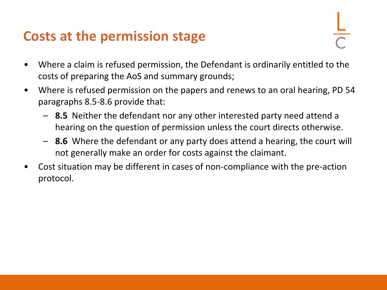### **Costs at the permission stage**

- Where a claim is refused permission, the Defendant is ordinarily entitled to the costs of preparing the AoS and summary grounds;
- Where is refused permission on the papers and renews to an oral hearing, PD 54 paragraphs 8.5-8.6 provide that:
	- **8.5** Neither the defendant nor any other interested party need attend a hearing on the question of permission unless the court directs otherwise.
	- **8.6** Where the defendant or any party does attend a hearing, the court will not generally make an order for costs against the claimant.
- Cost situation may be different in cases of non-compliance with the pre-action protocol.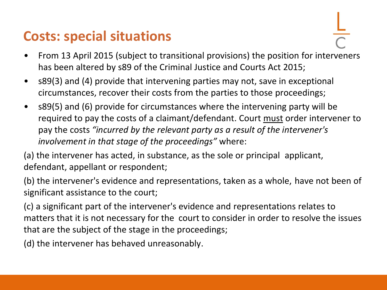### **Costs: special situations**

- From 13 April 2015 (subject to transitional provisions) the position for interveners has been altered by s89 of the Criminal Justice and Courts Act 2015;
- s89(3) and (4) provide that intervening parties may not, save in exceptional circumstances, recover their costs from the parties to those proceedings;
- s89(5) and (6) provide for circumstances where the intervening party will be required to pay the costs of a claimant/defendant. Court must order intervener to pay the costs *"incurred by the relevant party as a result of the intervener's involvement in that stage of the proceedings"* where:

(a) the intervener has acted, in substance, as the sole or principal applicant, defendant, appellant or respondent;

(b) the intervener's evidence and representations, taken as a whole, have not been of significant assistance to the court;

(c) a significant part of the intervener's evidence and representations relates to matters that it is not necessary for the court to consider in order to resolve the issues that are the subject of the stage in the proceedings;

(d) the intervener has behaved unreasonably.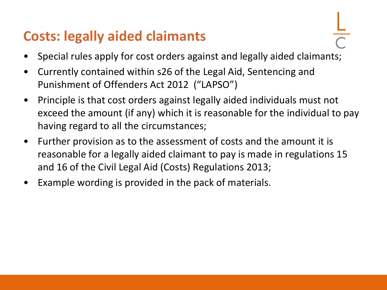## **Costs: legally aided claimants**

- Special rules apply for cost orders against and legally aided claimants;
- Currently contained within s26 of the Legal Aid, Sentencing and Punishment of Offenders Act 2012 ("LAPSO")
- Principle is that cost orders against legally aided individuals must not exceed the amount (if any) which it is reasonable for the individual to pay having regard to all the circumstances;
- Further provision as to the assessment of costs and the amount it is reasonable for a legally aided claimant to pay is made in regulations 15 and 16 of the Civil Legal Aid (Costs) Regulations 2013;
- Example wording is provided in the pack of materials.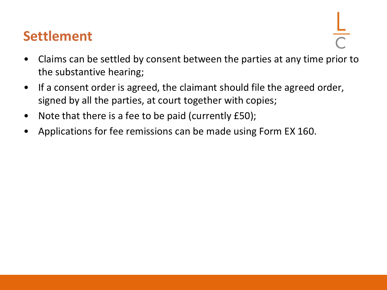#### **Settlement**

- Claims can be settled by consent between the parties at any time prior to the substantive hearing;
- If a consent order is agreed, the claimant should file the agreed order, signed by all the parties, at court together with copies;
- Note that there is a fee to be paid (currently £50);
- Applications for fee remissions can be made using Form EX 160.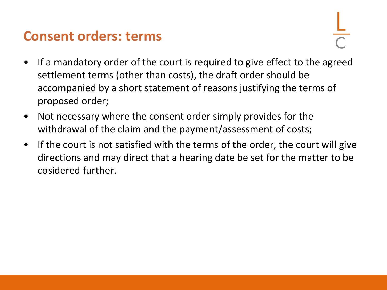#### **Consent orders: terms**

- If a mandatory order of the court is required to give effect to the agreed settlement terms (other than costs), the draft order should be accompanied by a short statement of reasons justifying the terms of proposed order;
- Not necessary where the consent order simply provides for the withdrawal of the claim and the payment/assessment of costs;
- If the court is not satisfied with the terms of the order, the court will give directions and may direct that a hearing date be set for the matter to be cosidered further.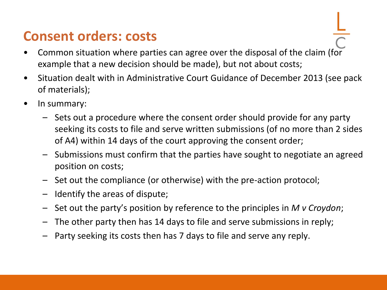### **Consent orders: costs**

- Common situation where parties can agree over the disposal of the claim (for example that a new decision should be made), but not about costs;
- Situation dealt with in Administrative Court Guidance of December 2013 (see pack of materials);
- In summary:
	- Sets out a procedure where the consent order should provide for any party seeking its costs to file and serve written submissions (of no more than 2 sides of A4) within 14 days of the court approving the consent order;
	- Submissions must confirm that the parties have sought to negotiate an agreed position on costs;
	- Set out the compliance (or otherwise) with the pre-action protocol;
	- Identify the areas of dispute;
	- Set out the party's position by reference to the principles in *M v Croydon*;
	- The other party then has 14 days to file and serve submissions in reply;
	- Party seeking its costs then has 7 days to file and serve any reply.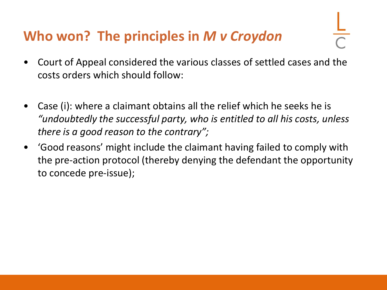## **Who won? The principles in** *M v Croydon*

- Court of Appeal considered the various classes of settled cases and the costs orders which should follow:
- Case (i): where a claimant obtains all the relief which he seeks he is *"undoubtedly the successful party, who is entitled to all his costs, unless there is a good reason to the contrary";*
- 'Good reasons' might include the claimant having failed to comply with the pre-action protocol (thereby denying the defendant the opportunity to concede pre-issue);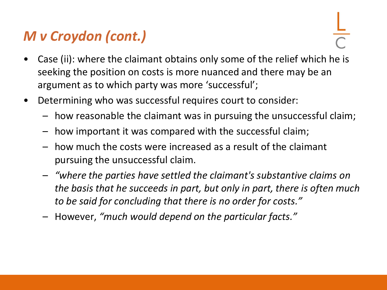## *M v Croydon (cont.)*

- Case (ii): where the claimant obtains only some of the relief which he is seeking the position on costs is more nuanced and there may be an argument as to which party was more 'successful';
- Determining who was successful requires court to consider:
	- how reasonable the claimant was in pursuing the unsuccessful claim;
	- how important it was compared with the successful claim;
	- how much the costs were increased as a result of the claimant pursuing the unsuccessful claim.
	- *"where the parties have settled the claimant's substantive claims on the basis that he succeeds in part, but only in part, there is often much to be said for concluding that there is no order for costs."*
	- However, *"much would depend on the particular facts."*